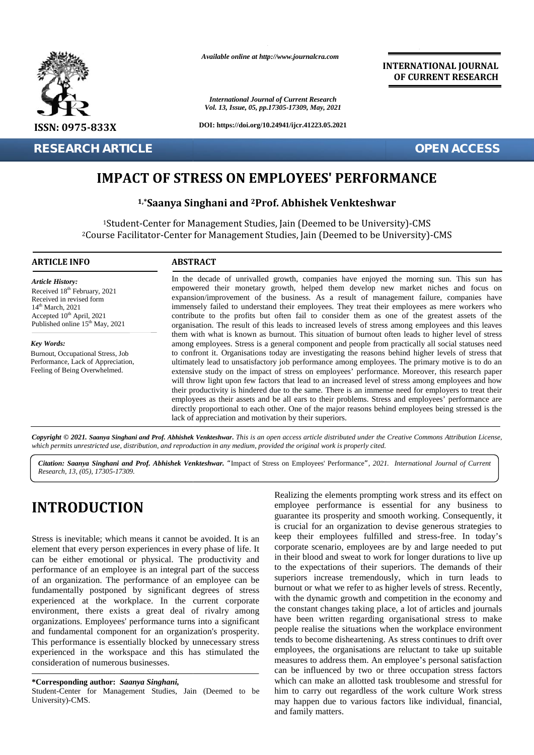

**RESEARCH ARTICLE OPEN ACCESS**

*Available online at http://www.journalcra.com*

*International Journal of Current Research Vol. 13, Issue, 05, pp.17305-17309, May, 2021*

**DOI: https://doi.org/10.24941/ijcr.41223.05.2021**

**INTERNATIONAL JOURNAL OF CURRENT RESEARCH**

# **IMPACT OF STRESS ON EMPLOYEES' PERFORMANCE PERFORMANCE**

**1,\*Saanya Singhani and <sup>2</sup>Prof. Abhishek Venkteshwar 2Venkteshwar**

<sup>1</sup>Student-Center for Management Studies, Jain (Deemed to be University)-CMS be <sup>2</sup>Course Facilitator-Center for Management Studies, Jain (Deemed to be University)-CMS

#### **ARTICLE INFO ABSTRACT ARTICLE ABSTRACT**

*Article History: Article History:* Received  $18<sup>th</sup>$  February, 2021 Received in revised form<br>14<sup>th</sup> March, 2021  $14<sup>th</sup> March, 2021$ Accepted  $10^{th}$  April, 2021 co Published online  $15^{th}$  May, 2021

*Key Words:* Accepted 10<sup>th</sup> April, 2021<br>Published online 15<sup>th</sup> May, 2021<br>**Key Words:**<br>Burnout, Occupational Stress, Job Performance, Lack of Appreciation, Feeling of Being Overwhelmed.

In the decade of unrivalled growth, companies have enjoyed the morning sun. This sun has empowered their monetary growth, helped them develop new market niches and focus on expansion/improvement of the business. As a result of management failure, companies have immensely failed to understand their employees. They treat their employees as mere workers who contribute to the profits but often fail to consider them as one of the greatest assets of the organisation. The result of this leads to increased levels of stress among employees and this leaves them with what is known as burnout. This situation of burnout often leads to higher level of stress among employees. Stress is a general component and people from practically all social statuses need to confront it. Organisations today are investigating the reasons behind higher levels of stress that ultimately lead to unsatisfactory job performance among employees. The primary motive is to do an extensive study on the impact of stress on employees' performance. Moreover, this research paper will throw light upon few factors that lead to an increased level of stress among employees and how their productivity is hindered due to the same. There is an immense need for employers to treat their extensive study on the impact of stress on employees' performance. Moreover, this research paper<br>will throw light upon few factors that lead to an increased level of stress among employees and how<br>their productivity is hin directly proportional to each other. One of the major reasons behind employees being stressed is the lack of appreciation and motivation by their superiors. lack of appreciation and motivation by their superiors. In the decade of unrivalled growth, companies have enjoyed the morning sun. '<br>empowered their monetary growth, helped them develop new market niches a<br>expansion/improvement of the business. As a result of management failur **ESEARCH ARTICLE**<br> **IMPACT OF STRESS ON EMPLOYEES' PERFORMANCE**<br>
1, **Saanya Singhani and <sup>2</sup>Prof. Abhishek Venkteshwar**<br>
<sup>1</sup>Student-Center for Management Studies, Jain (Deemed to be University)-CMS<br>
<sup>2</sup>Course Facilitator-C Exerived 18<sup>8</sup> February, 2021<br>
expansion/improvement of the business. As a result of management failure, companies here<br>
Say the more than the substrate that the substrate the propose. They treat their employees as mere w eads to increased<br>mout. This situation<br>neral component a<br>lay are investigation<br>job performance a

Copyright © 2021. Saanya Singhani and Prof. Abhishek Venkteshwar. This is an open access article distributed under the Creative Commons Attribution License, **Copyright © 2021. Saanya Singhani and Prof. Abhishek Venkteshwar.** This is an open access article distributed under the Cree<br>which permits unrestricted use, distribution, and reproduction in any medium, provided the origi

Citation: Saanya Singhani and Prof. Abhishek Venkteshwar. "Impact of Stress on Employees' Performance", 2021. International Journal of Current *Research, 13, (05), 17305-17309.*

# **INTRODUCTION INTRODUCTION**

Stress is inevitable; which means it cannot be avoided. It is an Stress is inevitable; which means it cannot be avoided. It is an element that every person experiences in every phase of life. It can be either emotional or physical. The productivity and can be either emotional or physical. The productivity and <sup>in i</sup><br>performance of an employee is an integral part of the success of an organization. The performance of an employee can be fundamentally postponed by significant degrees of stress experienced at the workplace. In the current corporate environment, there exists a great deal of rivalry among organizations. Employees' performance turns into a significant and fundamental component for an organization's prosperity. of an organization. The performance of an employee can be<br>
fundamentally postponed by significant degrees of stress<br>
experienced at the workplace. In the current corporate<br>
environment, there exists a great deal of rivalry experienced in the workspace and this has stimulated the emp<br>consideration of numerous businesses. consideration of numerous businesses.

#### **\*Corresponding author:** *Saanya Singhani,* **\*Corresponding**

Student-Center for Management Studies, Jain (Deemed to be University)-CMS.

Realizing the elements prompting work stress and its effect on employee performance is essential for any business to guarantee its prosperity and smooth working. Consequently, it is crucial for an organization to devise generous strategies to keep their employees fulfilled and stress-free. In today's corporate scenario, employees are by and large needed to put in their blood and sweat to work for longer durations to live up to the expectations of their superiors. The demands of their superiors increase tremendously, which in turn leads to burnout or what we refer to as higher levels of stress. Recently, with the dynamic growth and competition in the economy and the constant changes taking place, a lot of articles and journals have been written regarding organisational stress to make people realise the situations when the workplace environment tends to become disheartening. As stress continues to drift over employees, the organisations are reluctant to take up suitable measures to address them. An employee's personal satisfaction can be influenced by two or three occupation stress factors which can make an allotted task troublesome and stressful for him to carry out regardless of the work culture Work stress may happen due to various factors like individual, financial, and family matters. **EXACTELLE SECTION AND CONSULTERED CONFIDENCIAL CONSULTERED SECTION AND SECTION AND SECTION AND SECTION AND CONSULTERED SECTION AND CONSULTER SECTION AND CONSULTER SECTION AND CONSULTER SECTION AND CONSULTER SECTION AND C** The elements prompting work stress a<br>performance is essential for an<br>its prosperity and smooth working. C<br>for an organization to devise genero<br>r employees fulfilled and stress-fr<br>scenario, employees are by and large<br>ood an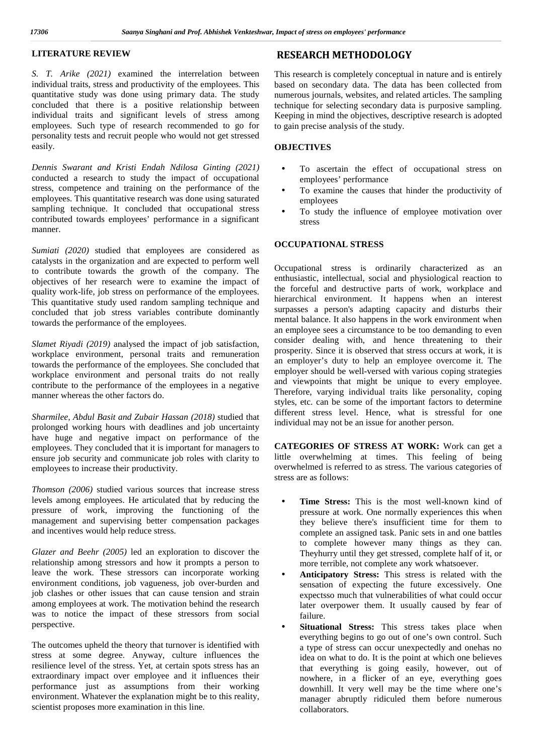#### **LITERATURE REVIEW**

*S. T. Arike (2021)* examined the interrelation between individual traits, stress and productivity of the employees. This quantitative study was done using primary data. The study concluded that there is a positive relationship between individual traits and significant levels of stress among employees. Such type of research recommended to go for personality tests and recruit people who would not get stressed easily.

*Dennis Swarant and Kristi Endah Ndilosa Ginting (2021)* conducted a research to study the impact of occupational stress, competence and training on the performance of the employees. This quantitative research was done using saturated sampling technique. It concluded that occupational stress contributed towards employees' performance in a significant manner.

*Sumiati (2020)* studied that employees are considered as catalysts in the organization and are expected to perform well to contribute towards the growth of the company. The objectives of her research were to examine the impact of quality work-life, job stress on performance of the employees. This quantitative study used random sampling technique and concluded that job stress variables contribute dominantly towards the performance of the employees.

*Slamet Riyadi (2019)* analysed the impact of job satisfaction, workplace environment, personal traits and remuneration towards the performance of the employees. She concluded that workplace environment and personal traits do not really contribute to the performance of the employees in a negative manner whereas the other factors do.

*Sharmilee, Abdul Basit and Zubair Hassan (2018)* studied that prolonged working hours with deadlines and job uncertainty have huge and negative impact on performance of the employees. They concluded that it is important for managers to ensure job security and communicate job roles with clarity to employees to increase their productivity.

*Thomson (2006)* studied various sources that increase stress levels among employees. He articulated that by reducing the pressure of work, improving the functioning of the management and supervising better compensation packages and incentives would help reduce stress.

*Glazer and Beehr (2005)* led an exploration to discover the relationship among stressors and how it prompts a person to leave the work. These stressors can incorporate working environment conditions, job vagueness, job over-burden and job clashes or other issues that can cause tension and strain among employees at work. The motivation behind the research was to notice the impact of these stressors from social perspective.

The outcomes upheld the theory that turnover is identified with stress at some degree. Anyway, culture influences the resilience level of the stress. Yet, at certain spots stress has an extraordinary impact over employee and it influences their performance just as assumptions from their working environment. Whatever the explanation might be to this reality, scientist proposes more examination in this line.

### **RESEARCH METHODOLOGY**

This research is completely conceptual in nature and is entirely based on secondary data. The data has been collected from numerous journals, websites, and related articles. The sampling technique for selecting secondary data is purposive sampling. Keeping in mind the objectives, descriptive research is adopted to gain precise analysis of the study.

#### **OBJECTIVES**

- To ascertain the effect of occupational stress on employees' performance
- To examine the causes that hinder the productivity of employees
- To study the influence of employee motivation over stress

#### **OCCUPATIONAL STRESS**

Occupational stress is ordinarily characterized as an enthusiastic, intellectual, social and physiological reaction to the forceful and destructive parts of work, workplace and hierarchical environment. It happens when an interest surpasses a person's adapting capacity and disturbs their mental balance. It also happens in the work environment when an employee sees a circumstance to be too demanding to even consider dealing with, and hence threatening to their prosperity. Since it is observed that stress occurs at work, it is an employer's duty to help an employee overcome it. The employer should be well-versed with various coping strategies and viewpoints that might be unique to every employee. Therefore, varying individual traits like personality, coping styles, etc. can be some of the important factors to determine different stress level. Hence, what is stressful for one individual may not be an issue for another person.

**CATEGORIES OF STRESS AT WORK:** Work can get a little overwhelming at times. This feeling of being overwhelmed is referred to as stress. The various categories of stress are as follows:

- **Time Stress:** This is the most well-known kind of pressure at work. One normally experiences this when they believe there's insufficient time for them to complete an assigned task. Panic sets in and one battles to complete however many things as they can. Theyhurry until they get stressed, complete half of it, or more terrible, not complete any work whatsoever.
- **Anticipatory Stress:** This stress is related with the sensation of expecting the future excessively. One expectsso much that vulnerabilities of what could occur later overpower them. It usually caused by fear of failure.
- **Situational Stress:** This stress takes place when everything begins to go out of one's own control. Such a type of stress can occur unexpectedly and onehas no idea on what to do. It is the point at which one believes that everything is going easily, however, out of nowhere, in a flicker of an eye, everything goes downhill. It very well may be the time where one's manager abruptly ridiculed them before numerous collaborators.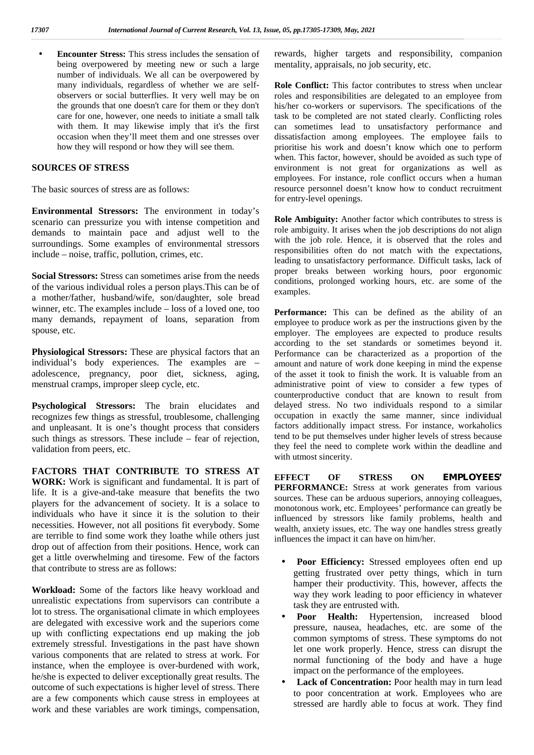**Encounter Stress:** This stress includes the sensation of being overpowered by meeting new or such a large number of individuals. We all can be overpowered by many individuals, regardless of whether we are self observers or social butterflies. It very well may be on the grounds that one doesn't care for them or they don't care for one, however, one needs to initiate a small talk with them. It may likewise imply that it's the first occasion when they'll meet them and one stresses over how they will respond or how they will see them.

#### **SOURCES OF STRESS**

The basic sources of stress are as follows:

**Environmental Stressors:** The environment in today's scenario can pressurize you with intense competition and demands to maintain pace and adjust well to the surroundings. Some examples of environmental stressors include – noise, traffic, pollution, crimes, etc.

**Social Stressors:** Stress can sometimes arise from the needs of the various individual roles a person plays.This can be of a mother/father, husband/wife, son/daughter, sole bread winner, etc. The examples include – loss of a loved one, too many demands, repayment of loans, separation from spouse, etc.

**Physiological Stressors:** These are physical factors that an individual's body experiences. The examples are – adolescence, pregnancy, poor diet, sickness, aging, menstrual cramps, improper sleep cycle, etc.

**Psychological Stressors:** The brain elucidates and recognizes few things as stressful, troublesome, challenging and unpleasant. It is one's thought process that considers such things as stressors. These include – fear of rejection, validation from peers, etc.

**FACTORS THAT CONTRIBUTE TO STRESS AT WORK:** Work is significant and fundamental. It is part of life. It is a give-and-take measure that benefits the two players for the advancement of society. It is a solace to individuals who have it since it is the solution to their necessities. However, not all positions fit everybody. Some are terrible to find some work they loathe while others just drop out of affection from their positions. Hence, work can get a little overwhelming and tiresome. Few of the factors that contribute to stress are as follows:

**Workload:** Some of the factors like heavy workload and unrealistic expectations from supervisors can contribute a lot to stress. The organisational climate in which employees are delegated with excessive work and the superiors come up with conflicting expectations end up making the job extremely stressful. Investigations in the past have shown various components that are related to stress at work. For instance, when the employee is over-burdened with work, he/she is expected to deliver exceptionally great results. The outcome of such expectations is higher level of stress. There are a few components which cause stress in employees at work and these variables are work timings, compensation, rewards, higher targets and responsibility, companion mentality, appraisals, no job security, etc.

**Role Conflict:** This factor contributes to stress when unclear roles and responsibilities are delegated to an employee from his/her co-workers or supervisors. The specifications of the task to be completed are not stated clearly. Conflicting roles can sometimes lead to unsatisfactory performance and dissatisfaction among employees. The employee fails to prioritise his work and doesn't know which one to perform when. This factor, however, should be avoided as such type of environment is not great for organizations as well as employees. For instance, role conflict occurs when a human resource personnel doesn't know how to conduct recruitment for entry-level openings.

**Role Ambiguity:** Another factor which contributes to stress is role ambiguity. It arises when the job descriptions do not align with the job role. Hence, it is observed that the roles and responsibilities often do not match with the expectations, leading to unsatisfactory performance. Difficult tasks, lack of proper breaks between working hours, poor ergonomic conditions, prolonged working hours, etc. are some of the examples.

Performance: This can be defined as the ability of an employee to produce work as per the instructions given by the employer. The employees are expected to produce results according to the set standards or sometimes beyond it. Performance can be characterized as a proportion of the amount and nature of work done keeping in mind the expense of the asset it took to finish the work. It is valuable from an administrative point of view to consider a few types of counterproductive conduct that are known to result from delayed stress. No two individuals respond to a similar occupation in exactly the same manner, since individual factors additionally impact stress. For instance, workaholics tend to be put themselves under higher levels of stress because they feel the need to complete work within the deadline and with utmost sincerity.

**EFFECT OF STRESS ON EMPLOYEES' PERFORMANCE:** Stress at work generates from various sources. These can be arduous superiors, annoying colleagues, monotonous work, etc. Employees' performance can greatly be influenced by stressors like family problems, health and wealth, anxiety issues, etc. The way one handles stress greatly influences the impact it can have on him/her.

- Poor Efficiency: Stressed employees often end up getting frustrated over petty things, which in turn hamper their productivity. This, however, affects the way they work leading to poor efficiency in whatever task they are entrusted with.
- **Poor Health:** Hypertension, increased blood pressure, nausea, headaches, etc. are some of the common symptoms of stress. These symptoms do not let one work properly. Hence, stress can disrupt the normal functioning of the body and have a huge impact on the performance of the employees.
- **Lack of Concentration:** Poor health may in turn lead to poor concentration at work. Employees who are stressed are hardly able to focus at work. They find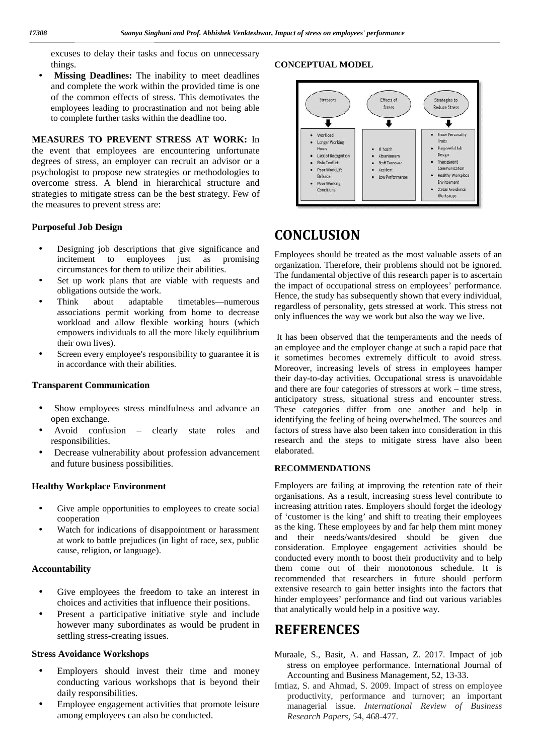excuses to delay their tasks and focus on unnecessary things.

 **Missing Deadlines:** The inability to meet deadlines **Missing Deadlines:** and complete the work within the provided time is one and complete the work within the provided time is one<br>of the common effects of stress. This demotivates the employees leading to procrastination and not being able employees leading to procrastination and not being<br>to complete further tasks within the deadline too.

**MEASURES TO PREVENT STRESS AT WORK:** In **MEASURES** the event that employees are encountering unfortunate degrees of stress, an employer can recruit an advisor or a psychologist to propose new strategies or methodologies to overcome stress. A blend in hierarchical structure and strategies to mitigate stress can be the best strategy. Few of the measures to prevent stress are: the event that employees are encountering unfortunate degrees of stress, an employer can recruit an advisor or a psychologist to propose new strategies or methodologies to overcome stress. A blend in hierarchical structure

#### **Purposeful Job Design PurposefulJob Design**

- Designing job descriptions that give significance and<br>incitement to employees just as promising<br>circumstances for them to utilize their abilities. incitement to employees just as promising circumstances for them to utilize their abilities.
- Set up work plans that are viable with requests and  $\frac{1}{100}$ obligations outside the work.
- Think about adaptable timetables—numerous associations permit working from home to decrease workload and allow flexible working hours (which empowers individuals to all the more likely equilibrium  $_{\text{It has been}}$ their own lives).  $\mathbf{I}$ associations permit working from home to decrease<br>workload and allow flexible working hours (which<br>empowers individuals to all the more likely equilibrium<br>their own lives).
- Screen every employee's responsibility to guarantee it is  $\frac{di}{dt}$  in accordance with their abilities. in accordance with their abilities.

#### **Transparent Communication Transparent**

- Show employees stress mindfulness and advance an These open exchange.
- ) Avoid confusion clearly state roles and factor responsibilities.
- ) Decrease vulnerability about profession advancement <sup>e</sup> and future business possibilities.

#### **Healthy Workplace Environment Healthy**

- $\int$  Give ample opportunities to employees to create social  $\frac{1}{2}$ cooperation
- Watch for indications of disappointment or harassment  $\delta$ at work to battle prejudices (in light of race, sex, public and cause, religion, or language).

#### **Accountability Accountability**

- ) Give employees the freedom to take an interest in exten choices and activities that influence their positions. choices and activities that influence their positions.
- Present a participative initiative style and include however many subordinates as would be prudent in  $\mathbf{D} \mathbf{E}$ settling stress-creating issues. ) Present a participative initiative style and include however many subordinates as would be prudent in settling stress-creating issues.

#### **Stress Avoidance Workshops Stress**

- Employers should invest their time and money conducting various workshops that is beyond their  $V_{\text{In}}$ daily responsibilities.  $\frac{1}{2}$
- Employee engagement activities that promote leisure among employees can also be conducted.

#### **CONCEPTUAL MODEL**



# **CONCLUSION**

Employees should be treated as the most valuable assets of an organization. Therefore, their problems should not be ignored. The fundamental objective of this research paper is to ascertain the impact of occupational stress on employees' performance. Hence, the study has subsequently shown that every individual, regardless of personality, gets stressed at work. This stress not only influences the way we work but also the way we live.

It has been observed that the temperaments and the needs of an employee and the employer change at such a rapid pace that it sometimes becomes extremely difficult to avoid stress. Moreover, increasing levels of stress in employees hamper their day-to-day activities. Occupational stress is unavoidable and there are four categories of stressors at work – time stress, anticipatory stress, situational stress and encounter stress. These categories differ from one another and help in identifying the feeling of being overwhelmed. The sources and factors of stress have also been taken into consideration in this research and the steps to mitigate stress have also been elaborated.

#### **RECOMMENDATIONS**

Employers are failing at improving the retention rate of their Employers are failing at improving the retention rate of their organisations. As a result, increasing stress level contribute to increasing attrition rates. Employers should forget the ideology of 'customer is the king' and shift to treating their employees as the king. These employees by and far help them mint money and their needs/wants/desired should be given due consideration. Employee engagement activities should be conducted every month to boost their productivity and to help them come out of their monotonous schedule. It is recommended that researchers in future should perform extensive research to gain better insights into the factors that hinder employees' performance and find out various variables that analytically would help in a positive way. incolure in the should state of gets stress the mitigate into the second at the observed the stress of the observed the observed the observed the second paper in the shown that is the second paper in the shown that the ve as the king. These employees by and far help them mint money<br>and their needs/wants/desired should be given due<br>consideration. Employee engagement activities should be<br>conducted every month to boost their productivity and t The contract of the stress of the stress of the stress of the stress of the stress of the stress of the stress of the stress of the stress of the stress of the stress of the stress of the stress of the stress of the stress

## **REFERENCES**

- Muraale, S., Basit, A. and Hassan, Z. 2017. Impact of job stress on employee performance. International Journal of Accounting and Business Management, 52, 13-33.
- Imtiaz, S. and Ahmad, S. 2009. Impact of stress on employee productivity, performance and turnover; an important managerial issue. *International Review of Business Research Papers*, *5*4, 468-477.